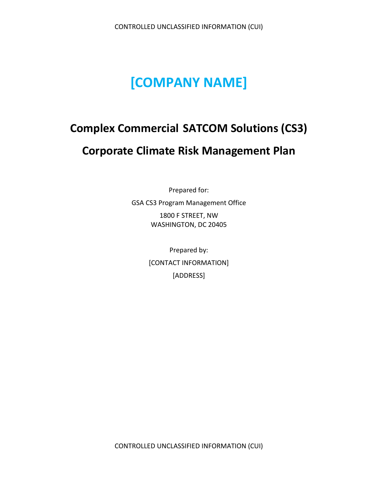# **[COMPANY NAME]**

# **Complex Commercial SATCOM Solutions (CS3) Corporate Climate Risk Management Plan**

Prepared for: GSA CS3 Program Management Office

> 1800 F STREET, NW WASHINGTON, DC 20405

Prepared by: [CONTACT INFORMATION] [ADDRESS]

CONTROLLED UNCLASSIFIED INFORMATION (CUI)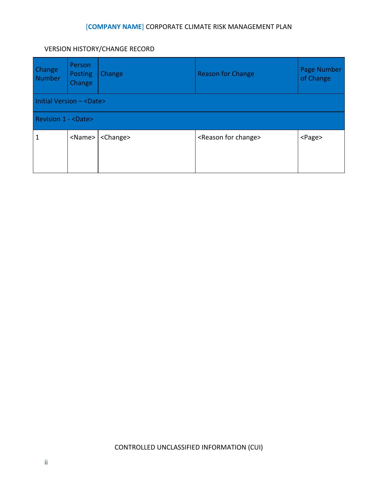#### VERSION HISTORY/CHANGE RECORD

| Change<br>Number                  | Person<br>Posting<br>Change | Change            | <b>Reason for Change</b>           | Page Number<br>of Change |  |  |  |  |
|-----------------------------------|-----------------------------|-------------------|------------------------------------|--------------------------|--|--|--|--|
| Initial Version - <date></date>   |                             |                   |                                    |                          |  |  |  |  |
| <b>Revision 1 - <date></date></b> |                             |                   |                                    |                          |  |  |  |  |
| $\mathbf{1}$                      | <name></name>               | <change></change> | <reason change="" for=""></reason> | <page></page>            |  |  |  |  |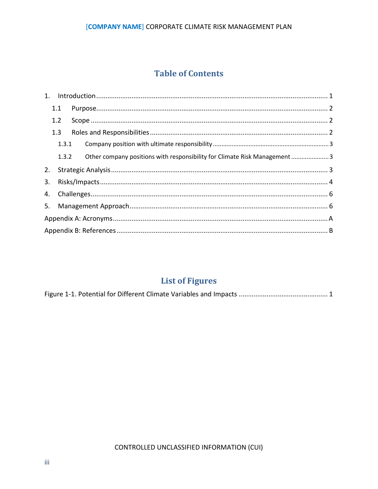#### [COMPANY NAME] CORPORATE CLIMATE RISK MANAGEMENT PLAN

# **Table of Contents**

| 3. |                   |                |                                                                            |  |  |  |  |  |
|----|-------------------|----------------|----------------------------------------------------------------------------|--|--|--|--|--|
|    |                   |                |                                                                            |  |  |  |  |  |
|    |                   |                |                                                                            |  |  |  |  |  |
|    |                   |                |                                                                            |  |  |  |  |  |
|    |                   |                |                                                                            |  |  |  |  |  |
|    | 1.1<br>1.2<br>1.3 | 1.3.1<br>1.3.2 | Other company positions with responsibility for Climate Risk Management  3 |  |  |  |  |  |

# **List of Figures**

|--|--|--|--|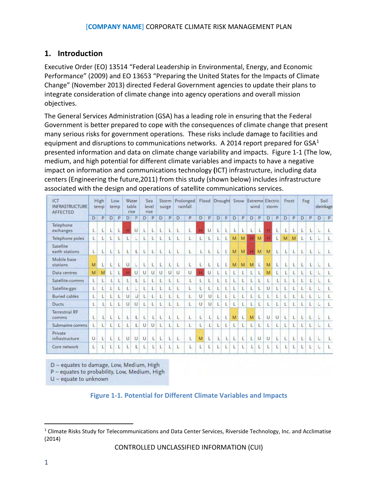# <span id="page-3-0"></span>**1. Introduction**

Executive Order (EO) 13514 "Federal Leadership in Environmental, Energy, and Economic Performance" (2009) and EO 13653 "Preparing the United States for the Impacts of Climate Change" (November 2013) directed Federal Government agencies to update their plans to integrate consideration of climate change into agency operations and overall mission objectives.

The General Services Administration (GSA) has a leading role in ensuring that the Federal Government is better prepared to cope with the consequences of climate change that present many serious risks for government operations. These risks include damage to facilities and equipment and disruptions to communications networks. A 20[1](#page-3-2)4 report prepared for  $GSA<sup>1</sup>$ presented information and data on climate change variability and impacts. Figure 1-1 (The low, medium, and high potential for different climate variables and impacts to have a negative impact on information and communications technology **(**ICT) infrastructure, including data centers (Engineering the future,2011) from this study (shown below) includes infrastructure associated with the design and operations of satellite communications services.

| ICT<br><b>INFRASTRUCTURE</b><br><b>AFFECTED</b> | High<br>temp |   | Low<br>temp |   | Water<br>table<br>rise |   | Sea<br>level<br>rise |        | Storm<br>surge |   | Prolonged<br>rainfall |    |   |        | Flood Drought Snow Extreme Electric |   |   |   | wind         |        | storm  |   | Frost |   | Fog          |   | Soil<br>shrinkage |   |
|-------------------------------------------------|--------------|---|-------------|---|------------------------|---|----------------------|--------|----------------|---|-----------------------|----|---|--------|-------------------------------------|---|---|---|--------------|--------|--------|---|-------|---|--------------|---|-------------------|---|
|                                                 | D            | P | D           | P | D                      | P | D                    | P      | D              | p | D                     | p  | D | P      | D                                   | P | D | p | D            | P      | D      | P | D     | P | D            | p | D                 | P |
| Telephone<br>exchanges                          | L            |   | L           |   |                        | U |                      | L      |                |   | L                     |    |   | U      |                                     |   | L |   |              | н      |        | L |       | L | L            |   |                   |   |
| Telephone poles                                 | L            |   |             |   | L                      | L | L                    | L      |                |   | Ł                     | L  | L | L      | L                                   |   | M | M | $\mathbf{H}$ | M      |        | L | M     | M | L            |   |                   | L |
| Satellite<br>earth stations                     | L            |   | L           |   | L                      | L | L                    | L      |                | L | L                     | L  | L | L      |                                     |   | M | M | H            | M      | M      | L |       | L | L            |   | └                 | L |
| Mobile base<br>stations                         | M            |   | Ł           | L | $\cup$                 | Ŀ | Ĺ                    | L      |                | Ĺ | Ĺ                     | Ĺ  | L | Ĺ      | $\overline{L}$                      |   | M | M | M            | L      | M      | Ĺ | Ĺ     | L | $\mathsf{L}$ |   |                   | Ł |
| Data centres                                    | M            | M | L           |   |                        | U | Ü                    | U      | U              | U | U                     | U. | н | $\cup$ | L                                   | L |   | L | L            | L      | M      | L | L     | L | L            |   |                   |   |
| Satellite-comms                                 | Ľ            | L |             |   | Ľ                      | Ľ | L                    | L      |                |   | L                     |    | L | L      | Ł                                   |   |   | L | L            | L      |        | Ł | L     | L | L            |   |                   | Ł |
| Satellite-gps                                   | L            | Ł |             |   | L                      | L | L                    | L      |                |   | L                     | L  | L | L      | L                                   | Ł |   | L | L            | L      | U      | Ł | L     | L | L            |   |                   | Ŀ |
| <b>Buried cables</b>                            | L            |   |             |   | $\cup$                 | U | L                    | L      |                | L | L                     | Ł  | U | U      | Ł                                   |   |   | Ľ |              | L      |        | L | L     | L | L            |   |                   | L |
| Ducts                                           | L            |   |             |   | U                      | U | L                    |        |                |   | L                     | L  | U | U      |                                     |   |   |   |              | L      |        | L |       | L | L            |   |                   | L |
| <b>Terrestrial RF</b><br>comms                  | L            | L | L           |   | L                      | L | L                    |        |                | L | L                     | L  | L | L      | L                                   | L | M | L | M            | L      | U      | U | L     | L | L            | L | └                 | L |
| Submarine comms                                 | L            | L |             |   |                        | L | U                    | $\cup$ |                |   | L                     | Ł  | L | L      | Ł                                   | Ł |   | L |              | L      |        | L | L     | L | L            | Ł |                   | L |
| Private<br>infrastructure                       | U            |   |             |   | U                      | U | U                    | L      |                |   | L                     | L  | M | L      |                                     |   |   | L | L            | $\cup$ | $\cup$ | L | L     | L | L            |   |                   |   |
| Core network                                    | L            |   |             |   |                        | L | L                    |        |                |   | Ł                     | L  | L | L      |                                     |   |   | L | L            | L      |        | L | L     | L | L            |   |                   | Ŀ |

D - equates to damage, Low, Medium, High

P - equates to probability, Low, Medium, High

<span id="page-3-1"></span>U - equate to unknown

### **Figure 1-1. Potential for Different Climate Variables and Impacts**

<span id="page-3-2"></span><sup>&</sup>lt;sup>1</sup> Climate Risks Study for Telecommunications and Data Center Services, Riverside Technology, Inc. and Acclimatise (2014)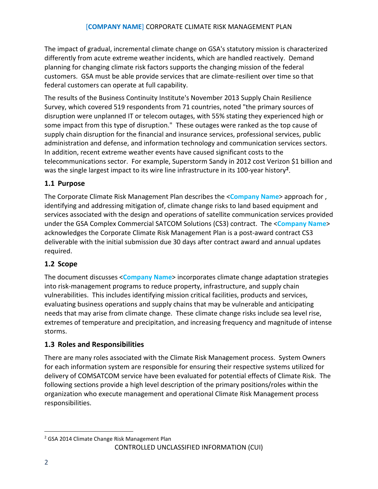The impact of gradual, incremental climate change on GSA's statutory mission is characterized differently from acute extreme weather incidents, which are handled reactively. Demand planning for changing climate risk factors supports the changing mission of the federal customers. GSA must be able provide services that are climate-resilient over time so that federal customers can operate at full capability.

The results of the Business Continuity Institute's November 2013 Supply Chain Resilience Survey, which covered 519 respondents from 71 countries, noted "the primary sources of disruption were unplanned IT or telecom outages, with 55% stating they experienced high or some impact from this type of disruption." These outages were ranked as the top cause of supply chain disruption for the financial and insurance services, professional services, public administration and defense, and information technology and communication services sectors. In addition, recent extreme weather events have caused significant costs to the telecommunications sector. For example, Superstorm Sandy in 2012 cost Verizon \$1 billion and was the single largest impact to its wire line infrastructure in its 100-year history**[2](#page-4-3)**.

# <span id="page-4-0"></span>**1.1 Purpose**

The Corporate Climate Risk Management Plan describes the <**Company Name**> approach for , identifying and addressing mitigation of, climate change risks to land based equipment and services associated with the design and operations of satellite communication services provided under the GSA Complex Commercial SATCOM Solutions (CS3) contract. The <**Company Name**> acknowledges the Corporate Climate Risk Management Plan is a post-award contract CS3 deliverable with the initial submission due 30 days after contract award and annual updates required.

### <span id="page-4-1"></span>**1.2 Scope**

The document discusses <**Company Name**> incorporates climate change adaptation strategies into risk-management programs to reduce property, infrastructure, and supply chain vulnerabilities. This includes identifying mission critical facilities, products and services, evaluating business operations and supply chains that may be vulnerable and anticipating needs that may arise from climate change. These climate change risks include sea level rise, extremes of temperature and precipitation, and increasing frequency and magnitude of intense storms.

### <span id="page-4-2"></span>**1.3 Roles and Responsibilities**

There are many roles associated with the Climate Risk Management process. System Owners for each information system are responsible for ensuring their respective systems utilized for delivery of COMSATCOM service have been evaluated for potential effects of Climate Risk. The following sections provide a high level description of the primary positions/roles within the organization who execute management and operational Climate Risk Management process responsibilities.

<span id="page-4-3"></span> <sup>2</sup> GSA 2014 Climate Change Risk Management Plan

CONTROLLED UNCLASSIFIED INFORMATION (CUI)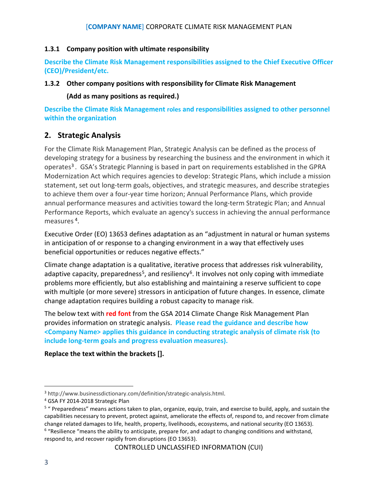#### <span id="page-5-0"></span>**1.3.1 Company position with ultimate responsibility**

**Describe the Climate Risk Management responsibilities assigned to the Chief Executive Officer (CEO)/President/etc.**

#### <span id="page-5-1"></span>**1.3.2 Other company positions with responsibility for Climate Risk Management**

**(Add as many positions as required.)**

**Describe the Climate Risk Management roles and responsibilities assigned to other personnel within the organization**

# <span id="page-5-2"></span>**2. Strategic Analysis**

For the Climate Risk Management Plan, Strategic Analysis can be defined as the process of developing strategy for a business by researching the business and the environment in which it operates<sup>[3](#page-5-3)</sup>. GSA's Strategic Planning is based in part on requirements established in the GPRA Modernization Act which requires agencies to develop: Strategic Plans, which include a mission statement, set out long-term goals, objectives, and strategic measures, and describe strategies to achieve them over a four-year time horizon; Annual Performance Plans, which provide annual performance measures and activities toward the long-term Strategic Plan; and Annual Performance Reports, which evaluate an agency's success in achieving the annual performance measures [4.](#page-5-4)

Executive Order (EO) 13653 defines adaptation as an "adjustment in natural or human systems in anticipation of or response to a changing environment in a way that effectively uses beneficial opportunities or reduces negative effects."

Climate change adaptation is a qualitative, iterative process that addresses risk vulnerability, adaptive capacity, preparedness<sup>[5](#page-5-5)</sup>, and resiliency<sup>[6](#page-5-6)</sup>. It involves not only coping with immediate problems more efficiently, but also establishing and maintaining a reserve sufficient to cope with multiple (or more severe) stressors in anticipation of future changes. In essence, climate change adaptation requires building a robust capacity to manage risk.

The below text with **red font** from the GSA 2014 Climate Change Risk Management Plan provides information on strategic analysis. **Please read the guidance and describe how <Company Name> applies this guidance in conducting strategic analysis of climate risk (to include long-term goals and progress evaluation measures).** 

### **Replace the text within the brackets [].**

<span id="page-5-6"></span> $6$  "Resilience "means the ability to anticipate, prepare for, and adapt to changing conditions and withstand, respond to, and recover rapidly from disruptions (EO 13653).

<span id="page-5-3"></span> <sup>3</sup> http://www.businessdictionary.com/definition/strategic-analysis.html.

<span id="page-5-4"></span><sup>4</sup> GSA FY 2014-2018 Strategic Plan

<span id="page-5-5"></span><sup>5</sup> " Preparedness" means actions taken to plan, organize, equip, train, and exercise to build, apply, and sustain the capabilities necessary to prevent, protect against, ameliorate the effects of, respond to, and recover from climate change related damages to life, health, property, livelihoods, ecosystems, and national security (EO 13653).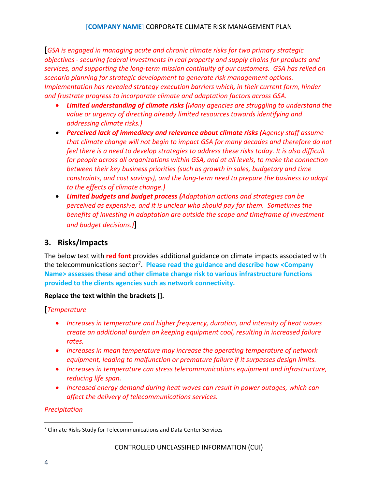**[***GSA is engaged in managing acute and chronic climate risks for two primary strategic objectives - securing federal investments in real property and supply chains for products and services, and supporting the long-term mission continuity of our customers. GSA has relied on scenario planning for strategic development to generate risk management options. Implementation has revealed strategy execution barriers which, in their current form, hinder and frustrate progress to incorporate climate and adaptation factors across GSA.*

- *Limited understanding of climate risks (Many agencies are struggling to understand the value or urgency of directing already limited resources towards identifying and addressing climate risks.)*
- *Perceived lack of immediacy and relevance about climate risks (Agency staff assume that climate change will not begin to impact GSA for many decades and therefore do not feel there is a need to develop strategies to address these risks today. It is also difficult for people across all organizations within GSA, and at all levels, to make the connection between their key business priorities (such as growth in sales, budgetary and time constraints, and cost savings), and the long-term need to prepare the business to adapt to the effects of climate change.)*
- *Limited budgets and budget process (Adaptation actions and strategies can be perceived as expensive, and it is unclear who should pay for them. Sometimes the benefits of investing in adaptation are outside the scope and timeframe of investment and budget decisions.)***]**

# <span id="page-6-0"></span>**3. Risks/Impacts**

The below text with **red font** provides additional guidance on climate impacts associated with the telecommunications sector[7](#page-6-1). **Please read the guidance and describe how <Company Name> assesses these and other climate change risk to various infrastructure functions provided to the clients agencies such as network connectivity.**

#### **Replace the text within the brackets [].**

#### **[***Temperature*

- *Increases in temperature and higher frequency, duration, and intensity of heat waves create an additional burden on keeping equipment cool, resulting in increased failure rates.*
- *Increases in mean temperature may increase the operating temperature of network equipment, leading to malfunction or premature failure if it surpasses design limits.*
- *Increases in temperature can stress telecommunications equipment and infrastructure, reducing life span.*
- *Increased energy demand during heat waves can result in power outages, which can affect the delivery of telecommunications services.*

#### *Precipitation*

<span id="page-6-1"></span> <sup>7</sup> Climate Risks Study for Telecommunications and Data Center Services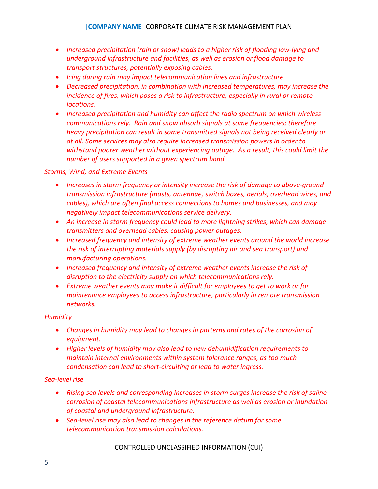- *Increased precipitation (rain or snow) leads to a higher risk of flooding low-lying and underground infrastructure and facilities, as well as erosion or flood damage to transport structures, potentially exposing cables.*
- *Icing during rain may impact telecommunication lines and infrastructure.*
- *Decreased precipitation, in combination with increased temperatures, may increase the incidence of fires, which poses a risk to infrastructure, especially in rural or remote locations.*
- *Increased precipitation and humidity can affect the radio spectrum on which wireless communications rely. Rain and snow absorb signals at some frequencies; therefore heavy precipitation can result in some transmitted signals not being received clearly or at all. Some services may also require increased transmission powers in order to withstand poorer weather without experiencing outage. As a result, this could limit the number of users supported in a given spectrum band.*

#### *Storms, Wind, and Extreme Events*

- *Increases in storm frequency or intensity increase the risk of damage to above-ground transmission infrastructure (masts, antennae, switch boxes, aerials, overhead wires, and cables), which are often final access connections to homes and businesses, and may negatively impact telecommunications service delivery.*
- *An increase in storm frequency could lead to more lightning strikes, which can damage transmitters and overhead cables, causing power outages.*
- *Increased frequency and intensity of extreme weather events around the world increase the risk of interrupting materials supply (by disrupting air and sea transport) and manufacturing operations.*
- *Increased frequency and intensity of extreme weather events increase the risk of disruption to the electricity supply on which telecommunications rely.*
- Extreme weather events may make it difficult for employees to get to work or for *maintenance employees to access infrastructure, particularly in remote transmission networks.*

#### *Humidity*

- *Changes in humidity may lead to changes in patterns and rates of the corrosion of equipment.*
- *Higher levels of humidity may also lead to new dehumidification requirements to maintain internal environments within system tolerance ranges, as too much condensation can lead to short-circuiting or lead to water ingress.*

#### *Sea-level rise*

- *Rising sea levels and corresponding increases in storm surges increase the risk of saline corrosion of coastal telecommunications infrastructure as well as erosion or inundation of coastal and underground infrastructure.*
- *Sea-level rise may also lead to changes in the reference datum for some telecommunication transmission calculations.*

CONTROLLED UNCLASSIFIED INFORMATION (CUI)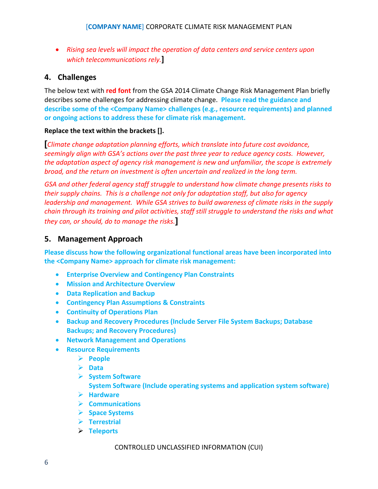• *Rising sea levels will impact the operation of data centers and service centers upon which telecommunications rely.***]**

## <span id="page-8-0"></span>**4. Challenges**

The below text with **red font** from the GSA 2014 Climate Change Risk Management Plan briefly describes some challenges for addressing climate change. **Please read the guidance and describe some of the <Company Name> challenges (e.g., resource requirements) and planned or ongoing actions to address these for climate risk management.**

#### **Replace the text within the brackets [].**

**[***Climate change adaptation planning efforts, which translate into future cost avoidance, seemingly align with GSA's actions over the past three year to reduce agency costs. However, the adaptation aspect of agency risk management is new and unfamiliar, the scope is extremely broad, and the return on investment is often uncertain and realized in the long term.*

*GSA and other federal agency staff struggle to understand how climate change presents risks to their supply chains. This is a challenge not only for adaptation staff, but also for agency leadership and management. While GSA strives to build awareness of climate risks in the supply chain through its training and pilot activities, staff still struggle to understand the risks and what they can, or should, do to manage the risks.***]**

# <span id="page-8-1"></span>**5. Management Approach**

**Please discuss how the following organizational functional areas have been incorporated into the <Company Name> approach for climate risk management:**

- **Enterprise Overview and Contingency Plan Constraints**
- **Mission and Architecture Overview**
- **Data Replication and Backup**
- **Contingency Plan Assumptions & Constraints**
- **Continuity of Operations Plan**
- **Backup and Recovery Procedures (Include Server File System Backups; Database Backups; and Recovery Procedures)**
- **Network Management and Operations**
- **Resource Requirements**
	- **People**
	- **Data**
	- **System Software System Software (Include operating systems and application system software)**
	- **Hardware**
	- **Communications**
	- **Space Systems**
	- **Terrestrial**
	- **Teleports**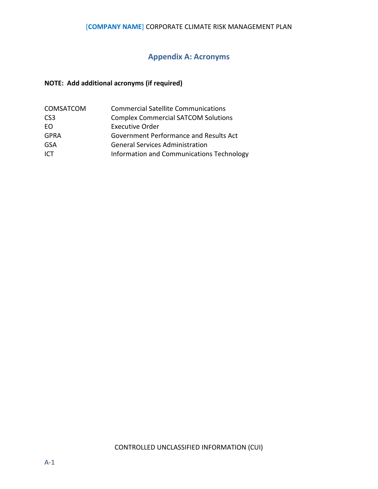### [**COMPANY NAME**] CORPORATE CLIMATE RISK MANAGEMENT PLAN

# **Appendix A: Acronyms**

# <span id="page-9-0"></span>**NOTE: Add additional acronyms (if required)**

| <b>COMSATCOM</b> | <b>Commercial Satellite Communications</b> |
|------------------|--------------------------------------------|
| CS <sub>3</sub>  | <b>Complex Commercial SATCOM Solutions</b> |
| FO               | <b>Executive Order</b>                     |
| <b>GPRA</b>      | Government Performance and Results Act     |
| GSA              | <b>General Services Administration</b>     |
| ICT              | Information and Communications Technology  |